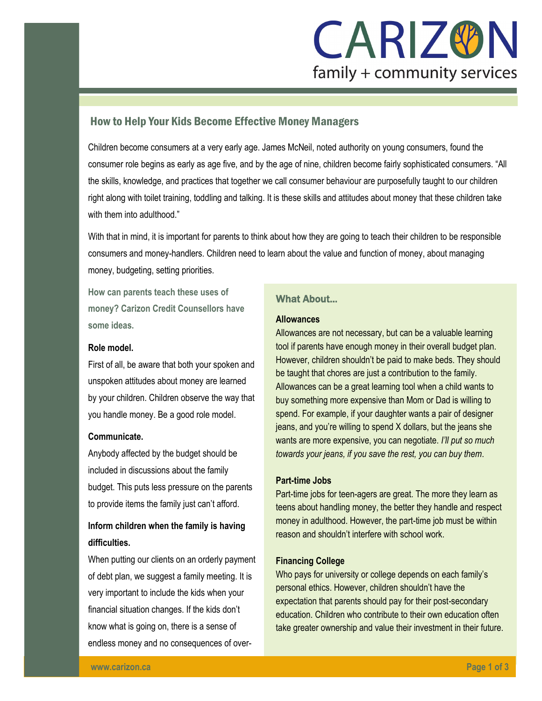

# How to Help Your Kids Become Effective Money Managers

Children become consumers at a very early age. James McNeil, noted authority on young consumers, found the consumer role begins as early as age five, and by the age of nine, children become fairly sophisticated consumers. "All the skills, knowledge, and practices that together we call consumer behaviour are purposefully taught to our children right along with toilet training, toddling and talking. It is these skills and attitudes about money that these children take with them into adulthood."

With that in mind, it is important for parents to think about how they are going to teach their children to be responsible consumers and money-handlers. Children need to learn about the value and function of money, about managing money, budgeting, setting priorities.

**How can parents teach these uses of money? Carizon Credit Counsellors have some ideas.** 

#### **Role model.**

First of all, be aware that both your spoken and unspoken attitudes about money are learned by your children. Children observe the way that you handle money. Be a good role model.

#### **Communicate.**

Anybody affected by the budget should be included in discussions about the family budget. This puts less pressure on the parents to provide items the family just can't afford.

# **Inform children when the family is having difficulties.**

When putting our clients on an orderly payment of debt plan, we suggest a family meeting. It is very important to include the kids when your financial situation changes. If the kids don't know what is going on, there is a sense of endless money and no consequences of over-

# What About...

#### **Allowances**

Allowances are not necessary, but can be a valuable learning tool if parents have enough money in their overall budget plan. However, children shouldn't be paid to make beds. They should be taught that chores are just a contribution to the family. Allowances can be a great learning tool when a child wants to buy something more expensive than Mom or Dad is willing to spend. For example, if your daughter wants a pair of designer jeans, and you're willing to spend X dollars, but the jeans she wants are more expensive, you can negotiate. *I'll put so much towards your jeans, if you save the rest, you can buy them*.

### **Part-time Jobs**

Part-time jobs for teen-agers are great. The more they learn as teens about handling money, the better they handle and respect money in adulthood. However, the part-time job must be within reason and shouldn't interfere with school work.

#### **Financing College**

Who pays for university or college depends on each family's personal ethics. However, children shouldn't have the expectation that parents should pay for their post-secondary education. Children who contribute to their own education often take greater ownership and value their investment in their future.